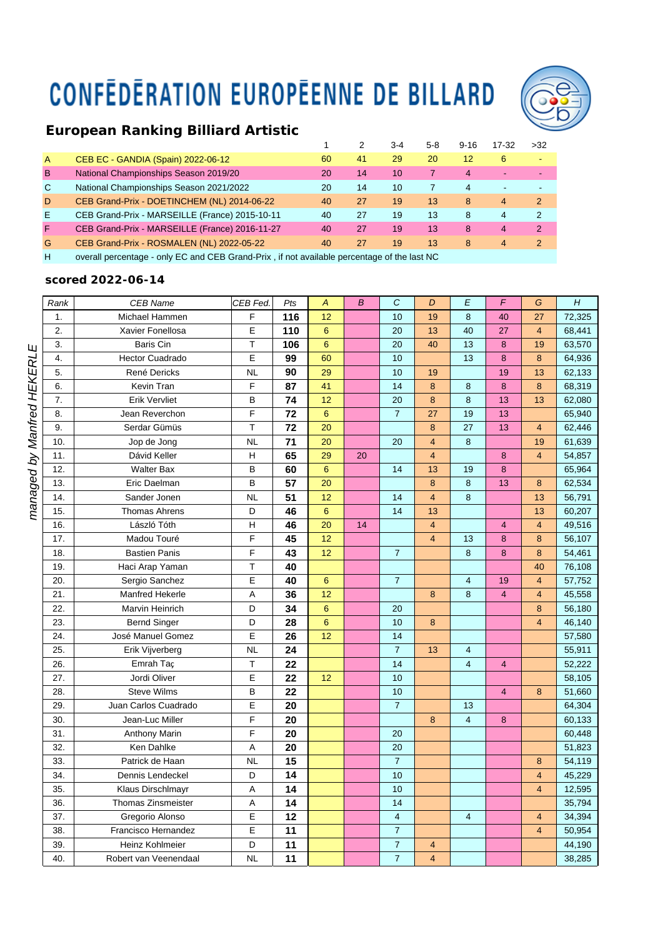## **CONFEDERATION EUROPEENNE DE BILLARD**



## *European Ranking Billiard Artistic*

|                |                                                |    |    | $3-4$ | 5-8 | $9 - 16$ | 17-32                    | >32           |
|----------------|------------------------------------------------|----|----|-------|-----|----------|--------------------------|---------------|
| $\overline{A}$ | CEB EC - GANDIA (Spain) 2022-06-12             | 60 | 41 | 29    | 20  | 12       | 6                        |               |
| B              | National Championships Season 2019/20          | 20 | 14 | 10    |     | 4        | $\overline{\phantom{a}}$ | $\sim$        |
| $\mathbf C$    | National Championships Season 2021/2022        | 20 | 14 | 10    |     | 4        |                          |               |
| D              | CEB Grand-Prix - DOETINCHEM (NL) 2014-06-22    | 40 | 27 | 19    | 13  | 8        | 4                        | 2             |
| Ε              | CEB Grand-Prix - MARSEILLE (France) 2015-10-11 | 40 | 27 | 19    | 13  | 8        | 4                        | $\mathcal{P}$ |
| F              | CEB Grand-Prix - MARSEILLE (France) 2016-11-27 | 40 | 27 | 19    | 13  | 8        | 4                        | 2             |
| G              | CEB Grand-Prix - ROSMALEN (NL) 2022-05-22      | 40 | 27 | 19    | 13  | 8        | 4                        | 2             |
|                |                                                |    |    |       |     |          |                          |               |

H overall percentage - only EC and CEB Grand-Prix , if not available percentage of the last NC

## *scored 2022-06-14*

| Rank | <b>CEB Name</b>        | CEB Fed.    | Pts | $\overline{\mathcal{A}}$ | $\overline{B}$ | $\mathcal{C}$           | D                       | E                       | $\overline{F}$ | G                       | H      |
|------|------------------------|-------------|-----|--------------------------|----------------|-------------------------|-------------------------|-------------------------|----------------|-------------------------|--------|
| 1.   | Michael Hammen         | F           | 116 | 12                       |                | 10                      | 19                      | 8                       | 40             | 27                      | 72,325 |
| 2.   | Xavier Fonellosa       | E           | 110 | $6\phantom{1}6$          |                | 20                      | 13                      | 40                      | 27             | $\overline{\mathbf{4}}$ | 68,441 |
| 3.   | Baris Cin              | T           | 106 | 6                        |                | 20                      | 40                      | 13                      | 8              | 19                      | 63,570 |
| 4.   | <b>Hector Cuadrado</b> | E           | 99  | 60                       |                | 10                      |                         | 13                      | 8              | 8                       | 64,936 |
| 5.   | René Dericks           | <b>NL</b>   | 90  | 29                       |                | 10                      | 19                      |                         | 19             | 13                      | 62,133 |
| 6.   | Kevin Tran             | F           | 87  | 41                       |                | 14                      | 8                       | 8                       | 8              | 8                       | 68,319 |
| 7.   | <b>Erik Vervliet</b>   | B           | 74  | 12                       |                | 20                      | $\bf8$                  | 8                       | 13             | 13                      | 62,080 |
| 8.   | Jean Reverchon         | F           | 72  | $6\phantom{1}6$          |                | $\overline{7}$          | 27                      | 19                      | 13             |                         | 65,940 |
| 9.   | Serdar Gümüs           | T           | 72  | 20                       |                |                         | $\bf{8}$                | 27                      | 13             | $\overline{\mathbf{4}}$ | 62,446 |
| 10.  | Jop de Jong            | <b>NL</b>   | 71  | 20                       |                | 20                      | $\overline{4}$          | 8                       |                | 19                      | 61,639 |
| 11.  | Dávid Keller           | Н           | 65  | 29                       | 20             |                         | $\overline{\mathbf{4}}$ |                         | 8              | $\overline{4}$          | 54,857 |
| 12.  | <b>Walter Bax</b>      | B           | 60  | $\boldsymbol{6}$         |                | 14                      | 13                      | 19                      | 8              |                         | 65,964 |
| 13.  | Eric Daelman           | B           | 57  | 20                       |                |                         | $\bf{8}$                | 8                       | 13             | 8                       | 62,534 |
| 14.  | Sander Jonen           | <b>NL</b>   | 51  | 12                       |                | 14                      | $\overline{\mathbf{4}}$ | 8                       |                | 13                      | 56,791 |
| 15.  | <b>Thomas Ahrens</b>   | D           | 46  | 6                        |                | 14                      | 13                      |                         |                | 13                      | 60,207 |
| 16.  | László Tóth            | н           | 46  | 20                       | 14             |                         | $\overline{4}$          |                         | $\overline{4}$ | $\overline{4}$          | 49,516 |
| 17.  | Madou Touré            | F           | 45  | 12                       |                |                         | $\overline{4}$          | 13                      | 8              | 8                       | 56,107 |
| 18.  | <b>Bastien Panis</b>   | F           | 43  | 12                       |                | $\overline{7}$          |                         | 8                       | 8              | 8                       | 54,461 |
| 19.  | Haci Arap Yaman        | T           | 40  |                          |                |                         |                         |                         |                | 40                      | 76,108 |
| 20.  | Sergio Sanchez         | E           | 40  | 6                        |                | $\overline{7}$          |                         | 4                       | 19             | $\overline{\mathbf{4}}$ | 57,752 |
| 21.  | <b>Manfred Hekerle</b> | A           | 36  | 12                       |                |                         | 8                       | 8                       | 4              | $\overline{4}$          | 45,558 |
| 22.  | Marvin Heinrich        | D           | 34  | 6                        |                | 20                      |                         |                         |                | 8                       | 56,180 |
| 23.  | <b>Bernd Singer</b>    | D           | 28  | $\boldsymbol{6}$         |                | 10                      | 8                       |                         |                | 4                       | 46,140 |
| 24.  | José Manuel Gomez      | E           | 26  | 12                       |                | 14                      |                         |                         |                |                         | 57,580 |
| 25.  | Erik Vijverberg        | <b>NL</b>   | 24  |                          |                | $\overline{7}$          | 13                      | $\overline{4}$          |                |                         | 55,911 |
| 26.  | Emrah Taç              | T           | 22  |                          |                | 14                      |                         | $\overline{4}$          | 4              |                         | 52,222 |
| 27.  | Jordi Oliver           | E           | 22  | 12                       |                | 10                      |                         |                         |                |                         | 58,105 |
| 28.  | <b>Steve Wilms</b>     | B           | 22  |                          |                | 10                      |                         |                         | $\overline{4}$ | 8                       | 51,660 |
| 29.  | Juan Carlos Cuadrado   | E           | 20  |                          |                | $\overline{7}$          |                         | 13                      |                |                         | 64,304 |
| 30.  | Jean-Luc Miller        | F           | 20  |                          |                |                         | 8                       | $\overline{\mathbf{4}}$ | 8              |                         | 60,133 |
| 31.  | <b>Anthony Marin</b>   | F           | 20  |                          |                | 20                      |                         |                         |                |                         | 60,448 |
| 32.  | Ken Dahlke             | A           | 20  |                          |                | 20                      |                         |                         |                |                         | 51,823 |
| 33.  | Patrick de Haan        | <b>NL</b>   | 15  |                          |                | $\overline{7}$          |                         |                         |                | 8                       | 54,119 |
| 34.  | Dennis Lendeckel       | D           | 14  |                          |                | 10                      |                         |                         |                | $\overline{4}$          | 45,229 |
| 35.  | Klaus Dirschlmayr      | A           | 14  |                          |                | 10                      |                         |                         |                | 4                       | 12,595 |
| 36.  | Thomas Zinsmeister     | A           | 14  |                          |                | 14                      |                         |                         |                |                         | 35,794 |
| 37.  | Gregorio Alonso        | $\mathsf E$ | 12  |                          |                | $\overline{\mathbf{4}}$ |                         | 4                       |                | $\overline{\mathbf{4}}$ | 34,394 |
| 38.  | Francisco Hernandez    | E           | 11  |                          |                | $\overline{7}$          |                         |                         |                | 4                       | 50,954 |
| 39.  | Heinz Kohlmeier        | D           | 11  |                          |                | $\overline{7}$          | $\overline{\mathbf{4}}$ |                         |                |                         | 44,190 |
| 40.  | Robert van Veenendaal  | <b>NL</b>   | 11  |                          |                | $\overline{7}$          | $\overline{\mathbf{4}}$ |                         |                |                         | 38,285 |